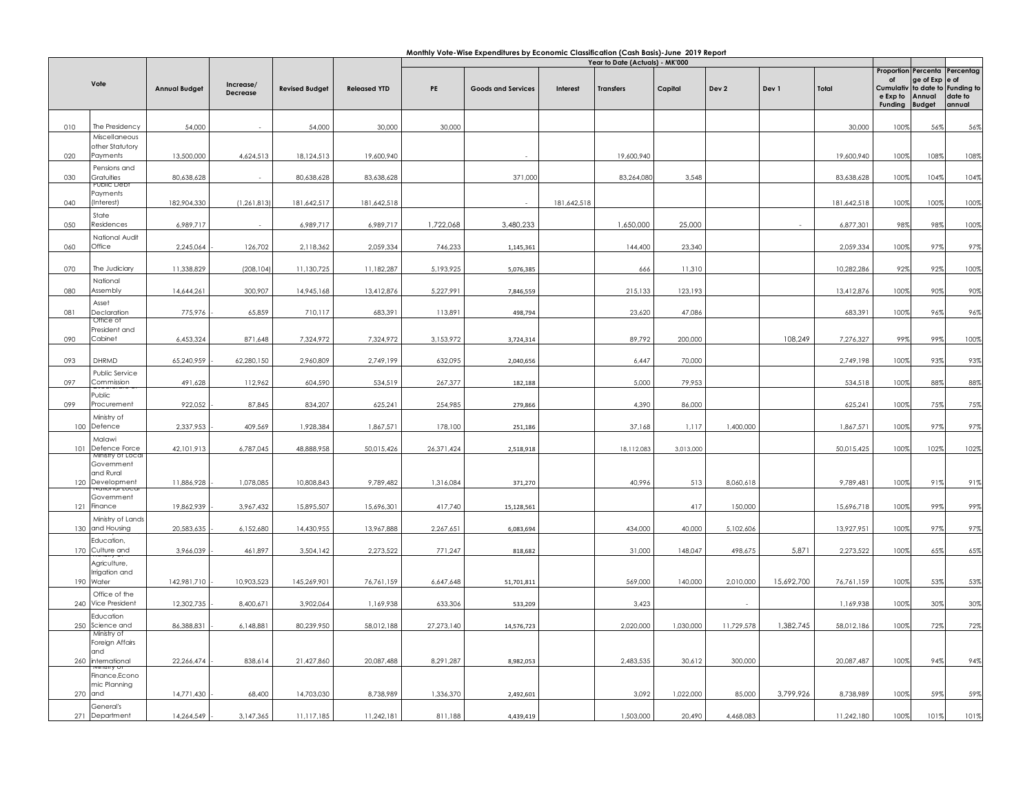| Monthly Vote-Wise Expenditures by Economic Classification (Cash Basis)-June 2019 Report |  |
|-----------------------------------------------------------------------------------------|--|
|-----------------------------------------------------------------------------------------|--|

|     |                                                |                      |                       |                       |                     | Year to Date (Actuals) - MK'000 |                           |             |                  |           |                  |            |             |                           |                                                                                                               |                   |  |  |  |
|-----|------------------------------------------------|----------------------|-----------------------|-----------------------|---------------------|---------------------------------|---------------------------|-------------|------------------|-----------|------------------|------------|-------------|---------------------------|---------------------------------------------------------------------------------------------------------------|-------------------|--|--|--|
|     | Vote                                           | <b>Annual Budget</b> | Increase/<br>Decrease | <b>Revised Budget</b> | <b>Released YTD</b> | PE                              | <b>Goods and Services</b> | Interest    | <b>Transfers</b> | Capital   | Dev <sub>2</sub> | Dev 1      | Total       | of<br>e Exp to<br>Funding | Proportion Percenta Percentag<br>ge of Exp e of<br>Cumulativ to date to Funding to<br>Annual<br><b>Budget</b> | date to<br>annual |  |  |  |
| 010 | The Presidency                                 | 54,000               |                       | 54,000                | 30,000              | 30,000                          |                           |             |                  |           |                  |            | 30,000      | 100%                      | 56%                                                                                                           | 56%               |  |  |  |
| 020 | Miscellaneous<br>other Statutory<br>Payments   | 13,500,000           | 4,624,513             | 18,124,513            | 19,600,940          |                                 |                           |             | 19,600,940       |           |                  |            | 19,600,940  | 100%                      | 108%                                                                                                          | 108%              |  |  |  |
| 030 | Pensions and<br>Gratuities                     | 80,638,628           |                       | 80,638,628            | 83,638,628          |                                 | 371,000                   |             | 83,264,080       | 3,548     |                  |            | 83,638,628  | 100%                      | 104%                                                                                                          | 104%              |  |  |  |
| 040 | Public Deb<br>Payments<br>(Interest)           | 182,904,330          | (1, 261, 813)         | 181,642,517           | 181,642,518         |                                 |                           | 181,642,518 |                  |           |                  |            | 181,642,518 | 100%                      | 100%                                                                                                          | 100%              |  |  |  |
| 050 | State<br>Residences                            | 6,989,717            |                       | 6,989,717             | 6,989,717           | 1,722,068                       | 3,480,233                 |             | 1,650,000        | 25,000    |                  |            | 6,877,301   | 98%                       | 98%                                                                                                           | 100%              |  |  |  |
| 060 | National Audit<br>Office                       | 2,245,064            | 126,702               | 2,118,362             | 2,059,334           | 746,233                         | 1,145,361                 |             | 144,400          | 23,340    |                  |            | 2,059,334   | 100%                      | 97%                                                                                                           | 97%               |  |  |  |
| 070 | The Judiciary                                  | 11,338,829           | (208, 104)            | 11,130,725            | 11,182,287          | 5,193,925                       | 5,076,385                 |             | 666              | 11,310    |                  |            | 10,282,286  | 92%                       | 92%                                                                                                           | 100%              |  |  |  |
| 080 | National<br>Assembly                           | 14,644,261           | 300,907               | 14,945,168            | 13,412,876          | 5,227,991                       | 7,846,559                 |             | 215,133          | 123,193   |                  |            | 13,412,876  | 100%                      | 90%                                                                                                           | 90%               |  |  |  |
| 081 | Asset<br>Declaration<br>Office of              | 775,976              | 65,859                | 710,117               | 683,391             | 113,891                         | 498,794                   |             | 23,620           | 47,086    |                  |            | 683,391     | 100%                      | 96%                                                                                                           | 96%               |  |  |  |
| 090 | President and<br>Cabinet                       | 6,453,324            | 871,648               | 7,324,972             | 7,324,972           | 3,153,972                       | 3,724,314                 |             | 89,792           | 200,000   |                  | 108,249    | 7,276,327   | 99%                       | 99%                                                                                                           | 100%              |  |  |  |
| 093 | DHRMD                                          | 65,240,959           | 62,280,150            | 2,960,809             | 2,749,199           | 632,095                         | 2,040,656                 |             | 6,447            | 70,000    |                  |            | 2,749,198   | 100%                      | 93%                                                                                                           | 93%               |  |  |  |
| 097 | Public Service<br>Commission                   | 491,628              | 112,962               | 604,590               | 534,519             | 267,377                         | 182,188                   |             | 5,000            | 79,953    |                  |            | 534,518     | 100%                      | 88%                                                                                                           | 88%               |  |  |  |
| 099 | Public<br>Procurement                          | 922,052              | 87,845                | 834,207               | 625,241             | 254,985                         | 279,866                   |             | 4,390            | 86,000    |                  |            | 625,241     | 100%                      | 75%                                                                                                           | 75%               |  |  |  |
|     | Ministry of<br>100 Defence                     | 2,337,953            | 409,569               | 1,928,384             | 1,867,571           | 178,100                         | 251,186                   |             | 37,168           | 1,117     | 1,400,000        |            | 1,867,571   | 100%                      | 97%                                                                                                           | 97%               |  |  |  |
|     | Malawi<br>101 Defence Force<br>vinistry of Loc | 42,101,913           | 6,787,045             | 48,888,958            | 50,015,426          | 26,371,424                      | 2,518,918                 |             | 18,112,083       | 3,013,000 |                  |            | 50,015,425  | 100%                      | 102%                                                                                                          | 102%              |  |  |  |
|     | Government<br>and Rural<br>120 Development     | 11,886,928           | 1,078,085             | 10,808,843            | 9,789,482           | 1,316,084                       | 371,270                   |             | 40,996           | 513       | 8,060,618        |            | 9,789,481   | 100%                      | 91%                                                                                                           | 91%               |  |  |  |
|     | Government<br>121 Finance                      | 19,862,939           | 3,967,432             | 15,895,507            | 15,696,301          | 417,740                         | 15,128,561                |             |                  | 417       | 150,000          |            | 15,696,718  | 100%                      | 99%                                                                                                           | 99%               |  |  |  |
|     | Ministry of Lands<br>130 and Housing           | 20,583,635           | 6,152,680             | 14,430,955            | 13,967,888          | 2,267,651                       | 6,083,694                 |             | 434,000          | 40,000    | 5,102,606        |            | 13,927,951  | 100%                      | 97%                                                                                                           | 97%               |  |  |  |
|     | Education,<br>170 Culture and                  | 3,966,039            | 461,897               | 3,504,142             | 2,273,522           | 771,247                         | 818,682                   |             | 31,000           | 148,047   | 498,675          | 5,871      | 2,273,522   | 100%                      | 65%                                                                                                           | 65%               |  |  |  |
|     | Agriculture,<br>Irrigation and<br>190 Water    | 142,981,710          | 10,903,523            | 145,269,901           | 76,761,159          | 6,647,648                       | 51,701,811                |             | 569,000          | 140,000   | 2,010,000        | 15,692,700 | 76,761,159  | 100%                      | 53%                                                                                                           | 53%               |  |  |  |
|     | Office of the<br>240 Vice President            | 12,302,735           | 8,400,671             | 3,902,064             | 1,169,938           | 633,306                         | 533,209                   |             | 3,423            |           |                  |            | 1,169,938   | 100%                      | 30%                                                                                                           | 30%               |  |  |  |
|     | Education<br>250 Science and                   | 86,388,831           | 6,148,881             | 80,239,950            | 58,012,188          | 27,273,140                      | 14,576,723                |             | 2,020,000        | 1,030,000 | 11,729,578       | 1,382,745  | 58,012,186  | 100%                      | 72%                                                                                                           | 72%               |  |  |  |
|     | Ministry of<br>Foreign Affairs<br>and          |                      |                       |                       |                     |                                 |                           |             |                  |           |                  |            |             |                           |                                                                                                               |                   |  |  |  |
|     | 260 international<br>Finance, Econo            | 22,266,474           | 838,614               | 21,427,860            | 20,087,488          | 8,291,287                       | 8,982,053                 |             | 2,483,535        | 30,612    | 300,000          |            | 20,087,487  | 100%                      | 94%                                                                                                           | 94%               |  |  |  |
|     | mic Planning<br>270 and                        | 14,771,430           | 68,400                | 14,703,030            | 8,738,989           | 1,336,370                       | 2,492,601                 |             | 3,092            | 1,022,000 | 85,000           | 3,799,926  | 8,738,989   | 100%                      | 59%                                                                                                           | 59%               |  |  |  |
|     | General's<br>271 Department                    | 14,264,549           | 3,147,365             | 11,117,185            | 11,242,181          | 811,188                         | 4,439,419                 |             | 1,503,000        | 20,490    | 4,468,083        |            | 11,242,180  | 100%                      | 101%                                                                                                          | 101%              |  |  |  |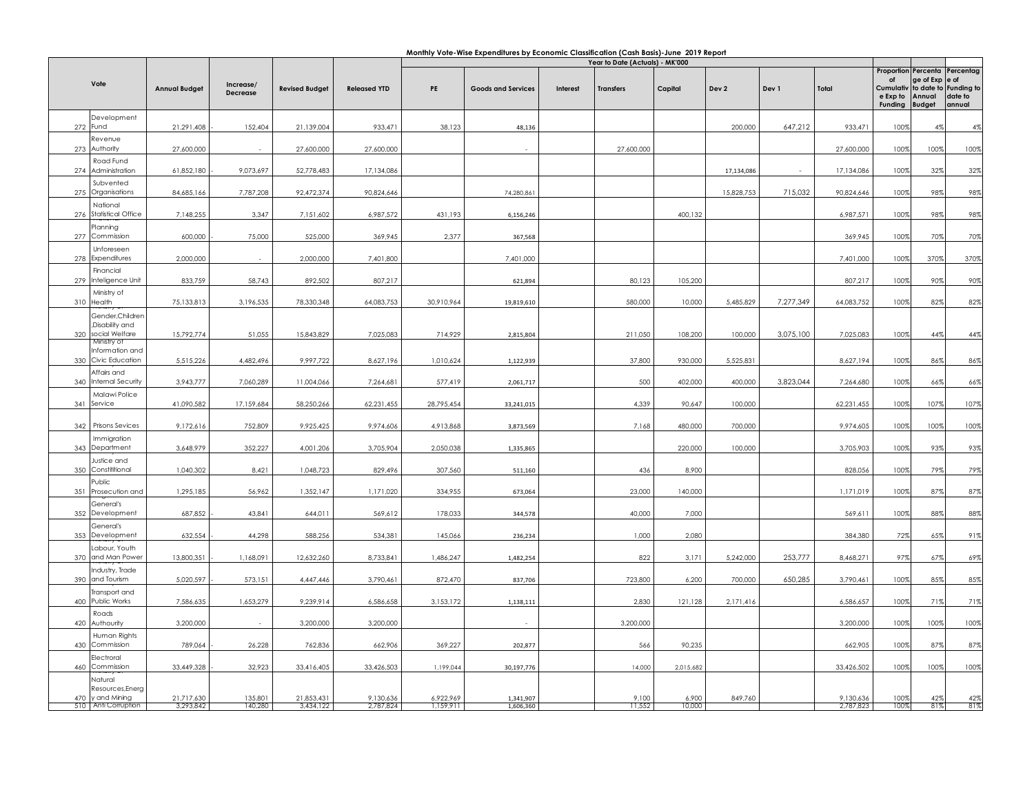| Monthly Vote-Wise Expenditures by Economic Classification (Cash Basis)-June 2019 Report |
|-----------------------------------------------------------------------------------------|
|-----------------------------------------------------------------------------------------|

|     |                                                          |                      |                       |                       |                     | Year to Date (Actuals) - MK'000 |                           |          |                  |           |                  |           |            |                                                      |                                           |                                                                  |
|-----|----------------------------------------------------------|----------------------|-----------------------|-----------------------|---------------------|---------------------------------|---------------------------|----------|------------------|-----------|------------------|-----------|------------|------------------------------------------------------|-------------------------------------------|------------------------------------------------------------------|
|     | Vote                                                     | <b>Annual Budget</b> | Increase/<br>Decrease | <b>Revised Budget</b> | <b>Released YTD</b> | PE                              | <b>Goods and Services</b> | Interest | <b>Transfers</b> | Capital   | Dev <sub>2</sub> | Dev 1     | Total      | Proportion<br>of<br>Cumulativ<br>e Exp to<br>Funding | ge of Exp e of<br>Annual<br><b>Budget</b> | Percenta Percentag<br>to date to Funding to<br>date to<br>annual |
|     | Development<br>272 Fund                                  | 21,291,408           | 152,404               | 21,139,004            | 933,471             | 38,123                          | 48,136                    |          |                  |           | 200,000          | 647,212   | 933,471    | 100%                                                 | 4%                                        | 4%                                                               |
|     | Revenue<br>273 Authority                                 | 27,600,000           |                       | 27,600,000            | 27,600,000          |                                 |                           |          | 27,600,000       |           |                  |           | 27,600,000 | 100%                                                 | 100%                                      | 100%                                                             |
|     | Road Fund<br>274 Administration                          | 61,852,180           | 9,073,697             | 52,778,483            | 17,134,086          |                                 |                           |          |                  |           | 17,134,086       |           | 17,134,086 | 100%                                                 | 32%                                       | 32%                                                              |
|     | Subvented<br>275 Organisations                           | 84,685,166           | 7,787,208             | 92,472,374            | 90,824,646          |                                 | 74,280,861                |          |                  |           | 15,828,753       | 715,032   | 90,824,646 | 100%                                                 | 98%                                       | 98%                                                              |
|     | National<br>276 Statistical Office                       | 7,148,255            | 3,347                 | 7,151,602             | 6,987,572           | 431,193                         | 6,156,246                 |          |                  | 400,132   |                  |           | 6,987,571  | 100%                                                 | 98%                                       | 98%                                                              |
|     | Planning<br>277 Commission                               | 600,000              | 75,000                | 525,000               | 369,945             | 2,377                           | 367,568                   |          |                  |           |                  |           | 369,945    | 100%                                                 | 70%                                       | 70%                                                              |
|     | Unforeseen<br>278 Expenditures                           | 2,000,000            |                       | 2,000,000             | 7,401,800           |                                 | 7,401,000                 |          |                  |           |                  |           | 7,401,000  | 100%                                                 | 370%                                      | 370%                                                             |
|     | Financial<br>279 Inteligence Unit                        | 833,759              | 58,743                | 892,502               | 807,217             |                                 | 621,894                   |          | 80,123           | 105,200   |                  |           | 807,217    | 100%                                                 | 90%                                       | 90%                                                              |
|     | Ministry of<br>310 Health                                | 75.133.813           | 3,196,535             | 78,330,348            | 64,083,753          | 30,910,964                      | 19,819,610                |          | 580,000          | 10,000    | 5,485,829        | 7,277,349 | 64,083,752 | 100%                                                 | 82%                                       | 82%                                                              |
|     | Gender, Children<br>Disability and<br>320 social Welfare | 15,792,774           | 51,055                | 15,843,829            | 7,025,083           | 714,929                         |                           |          | 211,050          | 108,200   | 100,000          | 3,075,100 | 7,025,083  | 100%                                                 | 44%                                       | 44%                                                              |
|     | Ministry of<br>Information and                           |                      |                       |                       |                     |                                 | 2,815,804                 |          |                  |           |                  |           |            |                                                      |                                           |                                                                  |
| 330 | Civic Education<br>Affairs and                           | 5,515,226            | 4,482,496             | 9,997,722             | 8,627,196           | 1,010,624                       | 1,122,939                 |          | 37,800           | 930,000   | 5,525,831        |           | 8,627,194  | 100%                                                 | 86%                                       | 86%                                                              |
| 340 | <b>Internal Security</b><br>Malawi Police                | 3,943,777            | 7,060,289             | 11,004,066            | 7,264,681           | 577,419                         | 2,061,717                 |          | 500              | 402,000   | 400,000          | 3,823,044 | 7,264,680  | 100%                                                 | 66%                                       | 66%                                                              |
|     | 341 Service                                              | 41,090,582           | 17,159,684            | 58,250,266            | 62,231,455          | 28,795,454                      | 33,241,015                |          | 4,339            | 90,647    | 100,000          |           | 62,231,455 | 100%                                                 | 107%                                      | 107%                                                             |
|     | 342 Prisons Sevices<br>Immigration                       | 9,172,616            | 752,809               | 9,925,425             | 9,974,606           | 4,913,868                       | 3,873,569                 |          | 7,168            | 480,000   | 700,000          |           | 9,974,605  | 100%                                                 | 100%                                      | 100%                                                             |
|     | 343 Department<br>Justice and                            | 3,648,979            | 352,227               | 4,001,206             | 3,705,904           | 2,050,038                       | 1,335,865                 |          |                  | 220,000   | 100,000          |           | 3,705,903  | 100%                                                 | 93%                                       | 93%                                                              |
| 350 | Constititional<br>Public                                 | 1,040,302            | 8,421                 | 1,048,723             | 829,496             | 307,560                         | 511,160                   |          | 436              | 8,900     |                  |           | 828,056    | 100%                                                 | 79%                                       | 79%                                                              |
| 351 | Prosecution and<br>General's                             | 1,295,185            | 56,962                | 1,352,147             | 1,171,020           | 334,955                         | 673,064                   |          | 23,000           | 140,000   |                  |           | 1,171,019  | 100%                                                 | 87%                                       | 87%                                                              |
|     | 352 Development<br>General's                             | 687,852              | 43,841                | 644,011               | 569,612             | 178,033                         | 344,578                   |          | 40,000           | 7,000     |                  |           | 569,611    | 100%                                                 | 88%                                       | 88%                                                              |
|     | 353 Development<br>Labour, Youth                         | 632,554              | 44,298                | 588,256               | 534,381             | 145,066                         | 236,234                   |          | 1,000            | 2,080     |                  |           | 384,380    | 72%                                                  | 65%                                       | 91%                                                              |
|     | 370 and Man Power<br>Industry, Trade                     | 13,800,351           | 1,168,091             | 12,632,260            | 8,733,841           | 1,486,247                       | 1,482,254                 |          | 822              | 3,171     | 5,242,000        | 253,777   | 8,468,271  | 97%                                                  | 67%                                       | 69%                                                              |
| 390 | and Tourism                                              | 5,020,597            | 573,151               | 4,447,446             | 3,790,461           | 872,470                         | 837,706                   |          | 723,800          | 6,200     | 700,000          | 650,285   | 3,790,461  | 100%                                                 | 85%                                       | 85%                                                              |
|     | Transport and<br>400 Public Works                        | 7,586,635            | 1,653,279             | 9,239,914             | 6,586,658           | 3,153,172                       | 1,138,111                 |          | 2,830            | 121,128   | 2,171,416        |           | 6,586,657  | 100%                                                 | 71%                                       | 71%                                                              |
| 420 | Roads<br>Authourity                                      | 3,200,000            |                       | 3,200,000             | 3,200,000           |                                 |                           |          | 3,200,000        |           |                  |           | 3,200,000  | 100%                                                 | 100%                                      | 100%                                                             |
| 430 | Human Rights<br>Commission                               | 789,064              | 26,228                | 762,836               | 662,906             | 369,227                         | 202,877                   |          | 566              | 90,235    |                  |           | 662,905    | 100%                                                 | 87%                                       | 87%                                                              |
| 460 | Electroral<br>Commission                                 | 33,449,328           | 32,923                | 33,416,405            | 33,426,503          | 1,199,044                       | 30,197,776                |          | 14,000           | 2,015,682 |                  |           | 33,426,502 | 100%                                                 | 100%                                      | 100%                                                             |
| 470 | Natural<br>Resources, Energ<br>y and Mining              | 21.717.630           | 135.801               | 21.853.431            | 9.130.636           | 6.922.969                       | 1.341.907                 |          | 9,100            | 6.900     | 849,760          |           | 9.130.636  | 100%                                                 | 42%                                       | 42%                                                              |
|     | 510 Anti Corruption                                      | 3,293,842            | 140.280               | 3,434,122             | 2.787.824           | 1.159.911                       | 1,606,360                 |          | 11,552           | 10,000    |                  |           | 2.787.823  | 100%                                                 | 81%                                       | 81%                                                              |